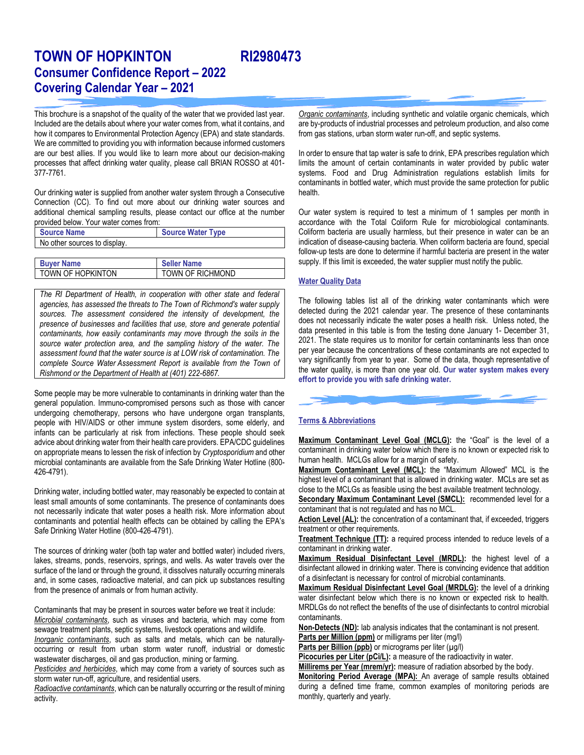# TOWN OF HOPKINTON RI2980473 Consumer Confidence Report – 2022 Covering Calendar Year – 2021

This brochure is a snapshot of the quality of the water that we provided last year. Included are the details about where your water comes from, what it contains, and how it compares to Environmental Protection Agency (EPA) and state standards. We are committed to providing you with information because informed customers are our best allies. If you would like to learn more about our decision-making processes that affect drinking water quality, please call BRIAN ROSSO at 401- 377-7761.

Our drinking water is supplied from another water system through a Consecutive Connection (CC). To find out more about our drinking water sources and additional chemical sampling results, please contact our office at the number provided below. Your water comes from:

| <b>Source Name</b>           | <b>Source Water Type</b> |
|------------------------------|--------------------------|
| No other sources to display. |                          |
|                              |                          |

| <b>Buyer Name</b>   | <b>Seller Name</b> |
|---------------------|--------------------|
| I TOWN OF HOPKINTON | TOWN OF RICHMOND   |

The RI Department of Health, in cooperation with other state and federal agencies, has assessed the threats to The Town of Richmond's water supply sources. The assessment considered the intensity of development, the presence of businesses and facilities that use, store and generate potential contaminants, how easily contaminants may move through the soils in the source water protection area, and the sampling history of the water. The assessment found that the water source is at LOW risk of contamination. The complete Source Water Assessment Report is available from the Town of Rishmond or the Department of Health at (401) 222-6867.

Some people may be more vulnerable to contaminants in drinking water than the general population. Immuno-compromised persons such as those with cancer undergoing chemotherapy, persons who have undergone organ transplants, people with HIV/AIDS or other immune system disorders, some elderly, and infants can be particularly at risk from infections. These people should seek advice about drinking water from their health care providers. EPA/CDC guidelines on appropriate means to lessen the risk of infection by Cryptosporidium and other microbial contaminants are available from the Safe Drinking Water Hotline (800- 426-4791).

Drinking water, including bottled water, may reasonably be expected to contain at least small amounts of some contaminants. The presence of contaminants does not necessarily indicate that water poses a health risk. More information about contaminants and potential health effects can be obtained by calling the EPA's Safe Drinking Water Hotline (800-426-4791).

The sources of drinking water (both tap water and bottled water) included rivers, lakes, streams, ponds, reservoirs, springs, and wells. As water travels over the surface of the land or through the ground, it dissolves naturally occurring minerals and, in some cases, radioactive material, and can pick up substances resulting from the presence of animals or from human activity.

Contaminants that may be present in sources water before we treat it include: Microbial contaminants, such as viruses and bacteria, which may come from sewage treatment plants, septic systems, livestock operations and wildlife.

Inorganic contaminants, such as salts and metals, which can be naturallyoccurring or result from urban storm water runoff, industrial or domestic wastewater discharges, oil and gas production, mining or farming.

Pesticides and herbicides, which may come from a variety of sources such as storm water run-off, agriculture, and residential users.

Radioactive contaminants, which can be naturally occurring or the result of mining activity.

Organic contaminants, including synthetic and volatile organic chemicals, which are by-products of industrial processes and petroleum production, and also come from gas stations, urban storm water run-off, and septic systems.

In order to ensure that tap water is safe to drink, EPA prescribes regulation which limits the amount of certain contaminants in water provided by public water systems. Food and Drug Administration regulations establish limits for contaminants in bottled water, which must provide the same protection for public health.

Our water system is required to test a minimum of 1 samples per month in accordance with the Total Coliform Rule for microbiological contaminants. Coliform bacteria are usually harmless, but their presence in water can be an indication of disease-causing bacteria. When coliform bacteria are found, special follow-up tests are done to determine if harmful bacteria are present in the water supply. If this limit is exceeded, the water supplier must notify the public.

### Water Quality Data

The following tables list all of the drinking water contaminants which were detected during the 2021 calendar year. The presence of these contaminants does not necessarily indicate the water poses a health risk. Unless noted, the data presented in this table is from the testing done January 1- December 31, 2021. The state requires us to monitor for certain contaminants less than once per year because the concentrations of these contaminants are not expected to vary significantly from year to year. Some of the data, though representative of the water quality, is more than one year old. Our water system makes every effort to provide you with safe drinking water.



### Terms & Abbreviations

Maximum Contaminant Level Goal (MCLG): the "Goal" is the level of a contaminant in drinking water below which there is no known or expected risk to human health. MCLGs allow for a margin of safety.

Maximum Contaminant Level (MCL): the "Maximum Allowed" MCL is the highest level of a contaminant that is allowed in drinking water. MCLs are set as close to the MCLGs as feasible using the best available treatment technology.

Secondary Maximum Contaminant Level (SMCL): recommended level for a contaminant that is not regulated and has no MCL.

Action Level (AL): the concentration of a contaminant that, if exceeded, triggers treatment or other requirements.

Treatment Technique (TT): a required process intended to reduce levels of a contaminant in drinking water.

Maximum Residual Disinfectant Level (MRDL): the highest level of a disinfectant allowed in drinking water. There is convincing evidence that addition of a disinfectant is necessary for control of microbial contaminants.

Maximum Residual Disinfectant Level Goal (MRDLG): the level of a drinking water disinfectant below which there is no known or expected risk to health. MRDLGs do not reflect the benefits of the use of disinfectants to control microbial contaminants.

Non-Detects (ND): lab analysis indicates that the contaminant is not present. Parts per Million (ppm) or milligrams per liter (mg/l)

Parts per Billion (ppb) or micrograms per liter  $(\mu g/l)$ 

Picocuries per Liter (pCi/L): a measure of the radioactivity in water.

Millirems per Year (mrem/yr): measure of radiation absorbed by the body.

Monitoring Period Average (MPA): An average of sample results obtained during a defined time frame, common examples of monitoring periods are monthly, quarterly and yearly.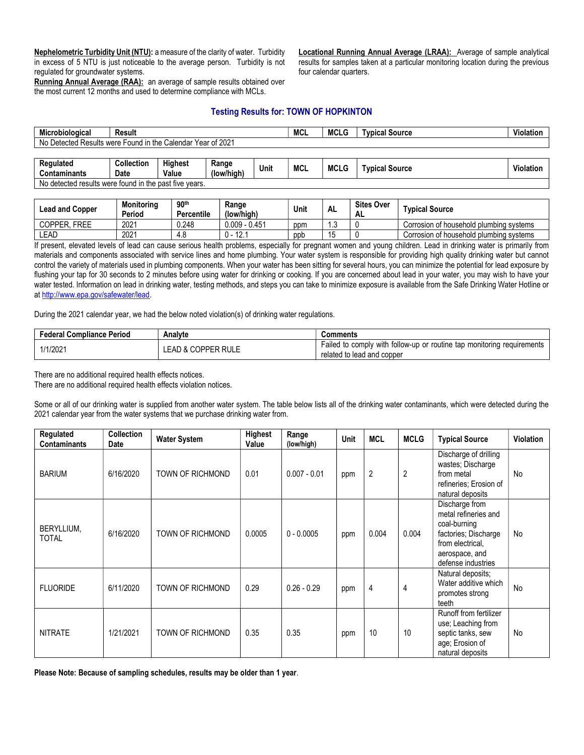Nephelometric Turbidity Unit (NTU): a measure of the clarity of water. Turbidity in excess of 5 NTU is just noticeable to the average person. Turbidity is not regulated for groundwater systems.

Running Annual Average (RAA): an average of sample results obtained over the most current 12 months and used to determine compliance with MCLs.

Locational Running Annual Average (LRAA): Average of sample analytical results for samples taken at a particular monitoring location during the previous four calendar quarters.

## Testing Results for: TOWN OF HOPKINTON

| Microbiological                                                     | Result     |                 |              | <b>MCL</b> |  | <b>MCLG</b> | <b>Tvpical Source</b> | Violation |  |
|---------------------------------------------------------------------|------------|-----------------|--------------|------------|--|-------------|-----------------------|-----------|--|
| Year of 2021<br>Detected Results were Found in the Calendar \<br>No |            |                 |              |            |  |             |                       |           |  |
|                                                                     |            |                 |              |            |  |             |                       |           |  |
| <b>Dogulated</b>                                                    | Collootian | <b>Llighoot</b> | <b>Donas</b> |            |  |             |                       |           |  |

| Regulated<br>Contaminants                                                      | Collection<br>Date | .<br><b>Highest</b><br>Value | Range<br>(low/high) | . .<br>Unit | MCL | <b>MCLG</b> | Tvpical Source | . .<br>Violation. |
|--------------------------------------------------------------------------------|--------------------|------------------------------|---------------------|-------------|-----|-------------|----------------|-------------------|
| detected results<br>I in the<br>No<br>. past<br>found<br>t five vears.<br>were |                    |                              |                     |             |     |             |                |                   |

| <b>Lead and Copper</b>       | <b>Monitoring</b><br>Period | 90 <sup>th</sup><br><b>Percentile</b> | Range<br>(low/high)            | Unit | ΑL  | <b>Sites Over</b><br>ΑL | <b>Tvpical Source</b>                   |
|------------------------------|-----------------------------|---------------------------------------|--------------------------------|------|-----|-------------------------|-----------------------------------------|
| <b>COPPER</b><br><b>FREE</b> | 2021                        | 0.248                                 | $0.009 - 0.451$                | ppm  | ں.، |                         | Corrosion of household plumbing systems |
| LEAD                         | 2021                        | 4.U                                   | $\overline{404}$<br>U -<br>۱۷. | ppb  |     |                         | Corrosion of household plumbing systems |

If present, elevated levels of lead can cause serious health problems, especially for pregnant women and young children. Lead in drinking water is primarily from materials and components associated with service lines and home plumbing. Your water system is responsible for providing high quality drinking water but cannot control the variety of materials used in plumbing components. When your water has been sitting for several hours, you can minimize the potential for lead exposure by flushing your tap for 30 seconds to 2 minutes before using water for drinking or cooking. If you are concerned about lead in your water, you may wish to have your water tested. Information on lead in drinking water, testing methods, and steps you can take to minimize exposure is available from the Safe Drinking Water Hotline or at http://www.epa.gov/safewater/lead.

During the 2021 calendar year, we had the below noted violation(s) of drinking water regulations.

| <b>Federal Compliance Period</b> | Analvte            | Comments                                                                                             |
|----------------------------------|--------------------|------------------------------------------------------------------------------------------------------|
| 1/1/2021                         | LEAD & COPPER RULE | Failed to comply with follow-up or routine tap monitoring requirements<br>related to lead and copper |

There are no additional required health effects notices.

There are no additional required health effects violation notices.

Some or all of our drinking water is supplied from another water system. The table below lists all of the drinking water contaminants, which were detected during the 2021 calendar year from the water systems that we purchase drinking water from.

| Regulated<br><b>Contaminants</b> | <b>Collection</b><br>Date | <b>Water System</b> | Highest<br>Value | Range<br>(low/high) | <b>Unit</b> | <b>MCL</b>     | <b>MCLG</b> | <b>Typical Source</b>                                                                                                                      | <b>Violation</b> |
|----------------------------------|---------------------------|---------------------|------------------|---------------------|-------------|----------------|-------------|--------------------------------------------------------------------------------------------------------------------------------------------|------------------|
| <b>BARIUM</b>                    | 6/16/2020                 | TOWN OF RICHMOND    | 0.01             | $0.007 - 0.01$      | ppm         | $\overline{2}$ | 2           | Discharge of drilling<br>wastes; Discharge<br>from metal<br>refineries; Erosion of<br>natural deposits                                     | No               |
| BERYLLIUM,<br><b>TOTAL</b>       | 6/16/2020                 | TOWN OF RICHMOND    | 0.0005           | $0 - 0.0005$        | ppm         | 0.004          | 0.004       | Discharge from<br>metal refineries and<br>coal-burning<br>factories; Discharge<br>from electrical,<br>aerospace, and<br>defense industries | No               |
| <b>FLUORIDE</b>                  | 6/11/2020                 | TOWN OF RICHMOND    | 0.29             | $0.26 - 0.29$       | ppm         | $\overline{4}$ | 4           | Natural deposits;<br>Water additive which<br>promotes strong<br>teeth                                                                      | No               |
| <b>NITRATE</b>                   | 1/21/2021                 | TOWN OF RICHMOND    | 0.35             | 0.35                | ppm         | 10             | 10          | Runoff from fertilizer<br>use; Leaching from<br>septic tanks, sew<br>age; Erosion of<br>natural deposits                                   | No               |

Please Note: Because of sampling schedules, results may be older than 1 year.